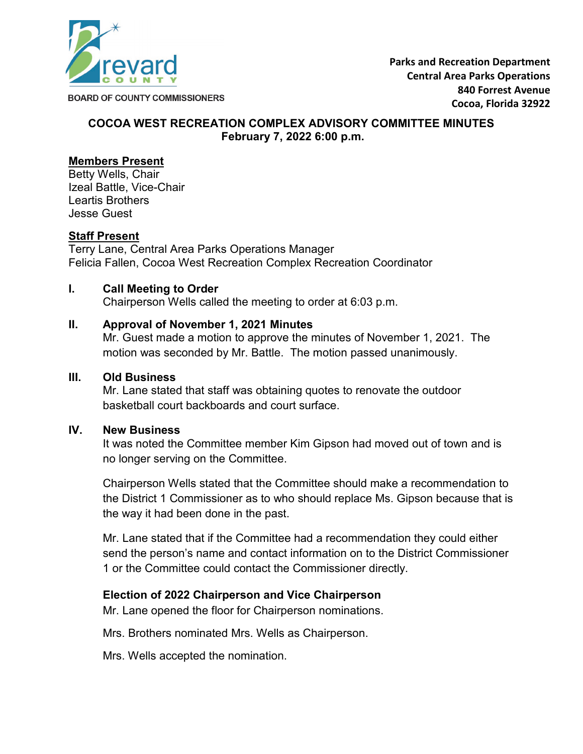

# **COCOA WEST RECREATION COMPLEX ADVISORY COMMITTEE MINUTES February 7, 2022 6:00 p.m.**

# **Members Present**

Betty Wells, Chair Izeal Battle, Vice-Chair Leartis Brothers Jesse Guest

## **Staff Present**

Terry Lane, Central Area Parks Operations Manager Felicia Fallen, Cocoa West Recreation Complex Recreation Coordinator

### **I. Call Meeting to Order**

Chairperson Wells called the meeting to order at 6:03 p.m.

#### **II. Approval of November 1, 2021 Minutes**

Mr. Guest made a motion to approve the minutes of November 1, 2021. The motion was seconded by Mr. Battle. The motion passed unanimously.

#### **III. Old Business**

Mr. Lane stated that staff was obtaining quotes to renovate the outdoor basketball court backboards and court surface.

#### **IV. New Business**

It was noted the Committee member Kim Gipson had moved out of town and is no longer serving on the Committee.

Chairperson Wells stated that the Committee should make a recommendation to the District 1 Commissioner as to who should replace Ms. Gipson because that is the way it had been done in the past.

Mr. Lane stated that if the Committee had a recommendation they could either send the person's name and contact information on to the District Commissioner 1 or the Committee could contact the Commissioner directly.

### **Election of 2022 Chairperson and Vice Chairperson**

Mr. Lane opened the floor for Chairperson nominations.

Mrs. Brothers nominated Mrs. Wells as Chairperson.

Mrs. Wells accepted the nomination.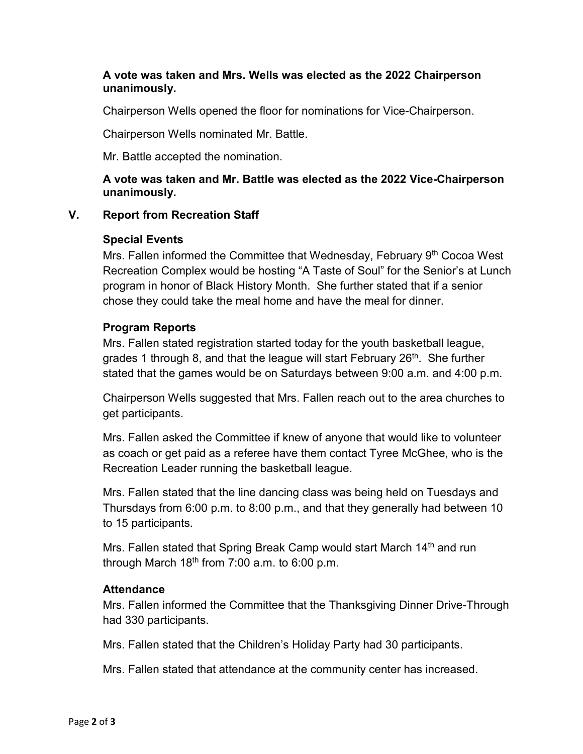# **A vote was taken and Mrs. Wells was elected as the 2022 Chairperson unanimously.**

Chairperson Wells opened the floor for nominations for Vice-Chairperson.

Chairperson Wells nominated Mr. Battle.

Mr. Battle accepted the nomination.

# **A vote was taken and Mr. Battle was elected as the 2022 Vice-Chairperson unanimously.**

# **V. Report from Recreation Staff**

# **Special Events**

Mrs. Fallen informed the Committee that Wednesday, February 9<sup>th</sup> Cocoa West Recreation Complex would be hosting "A Taste of Soul" for the Senior's at Lunch program in honor of Black History Month. She further stated that if a senior chose they could take the meal home and have the meal for dinner.

# **Program Reports**

Mrs. Fallen stated registration started today for the youth basketball league, grades 1 through 8, and that the league will start February  $26<sup>th</sup>$ . She further stated that the games would be on Saturdays between 9:00 a.m. and 4:00 p.m.

Chairperson Wells suggested that Mrs. Fallen reach out to the area churches to get participants.

Mrs. Fallen asked the Committee if knew of anyone that would like to volunteer as coach or get paid as a referee have them contact Tyree McGhee, who is the Recreation Leader running the basketball league.

Mrs. Fallen stated that the line dancing class was being held on Tuesdays and Thursdays from 6:00 p.m. to 8:00 p.m., and that they generally had between 10 to 15 participants.

Mrs. Fallen stated that Spring Break Camp would start March 14<sup>th</sup> and run through March  $18<sup>th</sup>$  from 7:00 a.m. to 6:00 p.m.

### **Attendance**

Mrs. Fallen informed the Committee that the Thanksgiving Dinner Drive-Through had 330 participants.

Mrs. Fallen stated that the Children's Holiday Party had 30 participants.

Mrs. Fallen stated that attendance at the community center has increased.